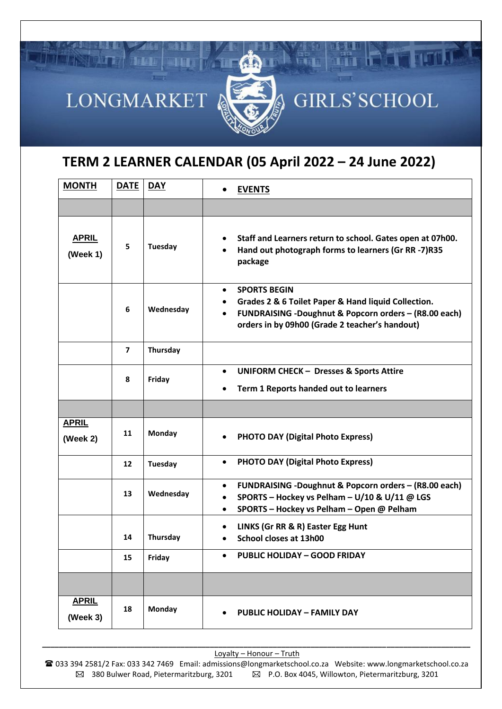

## **TERM 2 LEARNER CALENDAR (05 April 2022 – 24 June 2022)**

| <b>MONTH</b>             | <b>DATE</b>    | <b>DAY</b>     | <b>EVENTS</b><br>$\bullet$                                                                                                                                                                         |
|--------------------------|----------------|----------------|----------------------------------------------------------------------------------------------------------------------------------------------------------------------------------------------------|
|                          |                |                |                                                                                                                                                                                                    |
| <b>APRIL</b><br>(Week 1) | 5              | Tuesday        | Staff and Learners return to school. Gates open at 07h00.<br>Hand out photograph forms to learners (Gr RR -7)R35<br>package                                                                        |
|                          | 6              | Wednesday      | <b>SPORTS BEGIN</b><br>$\bullet$<br>Grades 2 & 6 Toilet Paper & Hand liquid Collection.<br>FUNDRAISING -Doughnut & Popcorn orders - (R8.00 each)<br>orders in by 09h00 (Grade 2 teacher's handout) |
|                          | $\overline{ }$ | Thursday       |                                                                                                                                                                                                    |
|                          | 8              | Friday         | <b>UNIFORM CHECK - Dresses &amp; Sports Attire</b><br>$\bullet$<br>Term 1 Reports handed out to learners                                                                                           |
|                          |                |                |                                                                                                                                                                                                    |
| <b>APRIL</b><br>(Week 2) | 11             | <b>Monday</b>  | <b>PHOTO DAY (Digital Photo Express)</b>                                                                                                                                                           |
|                          | 12             | <b>Tuesday</b> | <b>PHOTO DAY (Digital Photo Express)</b><br>$\bullet$                                                                                                                                              |
|                          | 13             | Wednesday      | FUNDRAISING -Doughnut & Popcorn orders - (R8.00 each)<br>$\bullet$<br>SPORTS - Hockey vs Pelham - U/10 & U/11 @ LGS<br>$\bullet$<br>SPORTS - Hockey vs Pelham - Open @ Pelham<br>$\bullet$         |
|                          | 14             | Thursday       | LINKS (Gr RR & R) Easter Egg Hunt<br>$\bullet$<br>School closes at 13h00<br>$\bullet$                                                                                                              |
|                          | 15             | Friday         | <b>PUBLIC HOLIDAY - GOOD FRIDAY</b>                                                                                                                                                                |
|                          |                |                |                                                                                                                                                                                                    |
| <b>APRIL</b><br>(Week 3) | 18             | <b>Monday</b>  | <b>PUBLIC HOLIDAY - FAMILY DAY</b>                                                                                                                                                                 |

*\_\_\_\_\_\_\_\_\_\_\_\_\_\_\_\_\_\_\_\_\_\_\_\_\_\_\_\_\_\_\_\_\_\_\_\_\_\_\_\_\_\_\_\_\_\_\_\_\_\_\_\_\_\_\_\_\_\_\_\_\_\_\_\_\_\_\_\_\_\_\_\_\_\_\_\_\_\_\_\_\_\_\_\_\_\_\_\_\_\_\_\_\_\_\_\_\_\_\_\_\_\_* Loyalty – Honour – Truth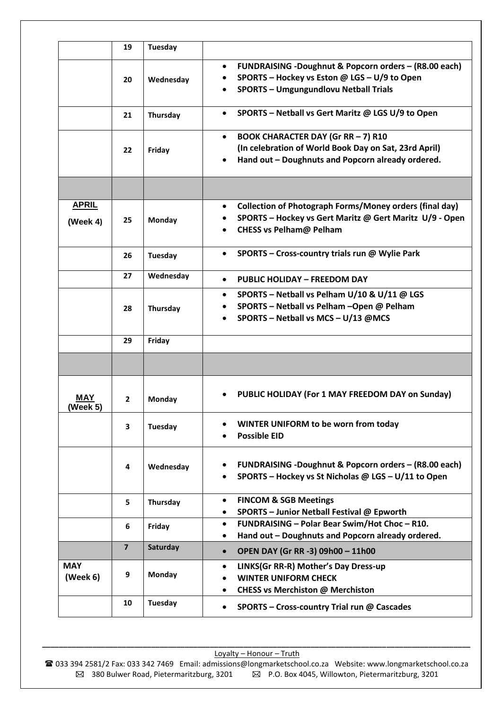|                          | 19             | <b>Tuesday</b> |                                                                                                                                                                                 |
|--------------------------|----------------|----------------|---------------------------------------------------------------------------------------------------------------------------------------------------------------------------------|
|                          | 20             | Wednesday      | <b>FUNDRAISING -Doughnut &amp; Popcorn orders - (R8.00 each)</b><br>$\bullet$<br>SPORTS - Hockey vs Eston @ LGS - U/9 to Open<br><b>SPORTS - Umgungundlovu Netball Trials</b>   |
|                          | 21             | Thursday       | SPORTS - Netball vs Gert Maritz @ LGS U/9 to Open<br>$\bullet$                                                                                                                  |
|                          | 22             | Friday         | <b>BOOK CHARACTER DAY (Gr RR-7) R10</b><br>$\bullet$<br>(In celebration of World Book Day on Sat, 23rd April)<br>Hand out - Doughnuts and Popcorn already ordered.<br>$\bullet$ |
|                          |                |                |                                                                                                                                                                                 |
| <b>APRIL</b><br>(Week 4) | 25             | <b>Monday</b>  | <b>Collection of Photograph Forms/Money orders (final day)</b><br>$\bullet$<br>SPORTS - Hockey vs Gert Maritz @ Gert Maritz U/9 - Open<br><b>CHESS vs Pelham@ Pelham</b><br>٠   |
|                          | 26             | Tuesday        | SPORTS - Cross-country trials run @ Wylie Park<br>$\bullet$                                                                                                                     |
|                          | 27             | Wednesday      | <b>PUBLIC HOLIDAY - FREEDOM DAY</b><br>$\bullet$                                                                                                                                |
|                          | 28             | Thursday       | SPORTS - Netball vs Pelham U/10 & U/11 @ LGS<br>$\bullet$<br>SPORTS - Netball vs Pelham - Open @ Pelham<br>SPORTS - Netball vs MCS - U/13 @MCS<br>٠                             |
|                          | 29             | Friday         |                                                                                                                                                                                 |
|                          |                |                |                                                                                                                                                                                 |
| MAY<br>(Week 5)          | $\overline{2}$ | <b>Monday</b>  | PUBLIC HOLIDAY (For 1 MAY FREEDOM DAY on Sunday)                                                                                                                                |
|                          |                |                |                                                                                                                                                                                 |
|                          | 3              | Tuesday        | WINTER UNIFORM to be worn from today<br>٠<br><b>Possible EID</b>                                                                                                                |
|                          | 4              | Wednesday      | <b>FUNDRAISING -Doughnut &amp; Popcorn orders - (R8.00 each)</b><br>$\bullet$<br>SPORTS - Hockey vs St Nicholas @ LGS - U/11 to Open                                            |
|                          | 5              | Thursday       | <b>FINCOM &amp; SGB Meetings</b><br>$\bullet$<br>SPORTS - Junior Netball Festival @ Epworth<br>$\bullet$                                                                        |
|                          | 6              | Friday         | FUNDRAISING - Polar Bear Swim/Hot Choc - R10.<br>$\bullet$<br>Hand out - Doughnuts and Popcorn already ordered.<br>٠                                                            |
|                          | $\overline{7}$ | Saturday       | OPEN DAY (Gr RR -3) 09h00 - 11h00<br>$\bullet$                                                                                                                                  |
| <b>MAY</b><br>(Week 6)   | 9              | Monday         | LINKS(Gr RR-R) Mother's Day Dress-up<br>$\bullet$<br><b>WINTER UNIFORM CHECK</b><br><b>CHESS vs Merchiston @ Merchiston</b><br>٠                                                |

*\_\_\_\_\_\_\_\_\_\_\_\_\_\_\_\_\_\_\_\_\_\_\_\_\_\_\_\_\_\_\_\_\_\_\_\_\_\_\_\_\_\_\_\_\_\_\_\_\_\_\_\_\_\_\_\_\_\_\_\_\_\_\_\_\_\_\_\_\_\_\_\_\_\_\_\_\_\_\_\_\_\_\_\_\_\_\_\_\_\_\_\_\_\_\_\_\_\_\_\_\_\_* Loyalty – Honour – Truth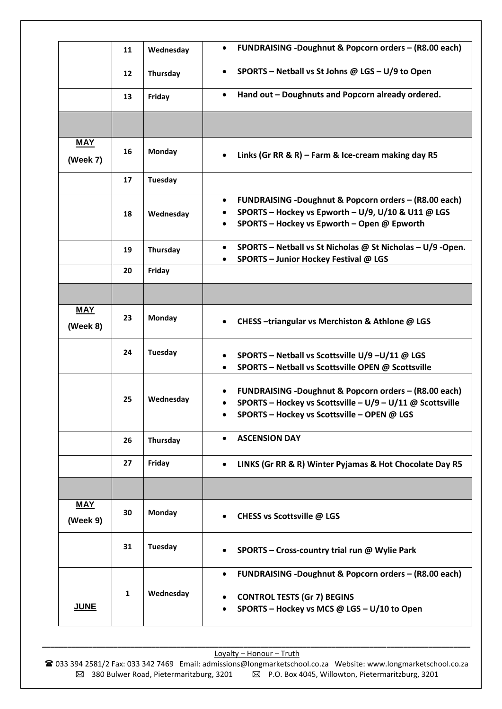|                        | 11           | Wednesday      | FUNDRAISING -Doughnut & Popcorn orders - (R8.00 each)<br>$\bullet$                                                                                                                  |
|------------------------|--------------|----------------|-------------------------------------------------------------------------------------------------------------------------------------------------------------------------------------|
|                        | 12           | Thursday       | SPORTS - Netball vs St Johns @ LGS - U/9 to Open<br>$\bullet$                                                                                                                       |
|                        | 13           | Friday         | Hand out - Doughnuts and Popcorn already ordered.<br>$\bullet$                                                                                                                      |
|                        |              |                |                                                                                                                                                                                     |
| <b>MAY</b>             |              |                |                                                                                                                                                                                     |
| (Week 7)               | 16           | <b>Monday</b>  | Links (Gr RR & R) - Farm & Ice-cream making day R5<br>$\bullet$                                                                                                                     |
|                        | 17           | <b>Tuesday</b> |                                                                                                                                                                                     |
|                        | 18           | Wednesday      | FUNDRAISING -Doughnut & Popcorn orders - (R8.00 each)<br>$\bullet$<br>SPORTS - Hockey vs Epworth - U/9, U/10 & U11 @ LGS<br>SPORTS - Hockey vs Epworth - Open @ Epworth             |
|                        | 19           | Thursday       | SPORTS - Netball vs St Nicholas @ St Nicholas - U/9 -Open.<br>$\bullet$<br>SPORTS - Junior Hockey Festival @ LGS<br>$\bullet$                                                       |
|                        | 20           | Friday         |                                                                                                                                                                                     |
|                        |              |                |                                                                                                                                                                                     |
| <b>MAY</b><br>(Week 8) | 23           | Monday         | CHESS-triangular vs Merchiston & Athlone @ LGS                                                                                                                                      |
|                        | 24           | <b>Tuesday</b> | SPORTS - Netball vs Scottsville U/9-U/11 @ LGS<br>SPORTS - Netball vs Scottsville OPEN @ Scottsville<br>٠                                                                           |
|                        | 25           | Wednesday      | FUNDRAISING -Doughnut & Popcorn orders - (R8.00 each)<br>SPORTS - Hockey vs Scottsville - U/9 - U/11 @ Scottsville<br>$\bullet$<br>SPORTS - Hockey vs Scottsville - OPEN @ LGS<br>٠ |
|                        | 26           | Thursday       | <b>ASCENSION DAY</b><br>$\bullet$                                                                                                                                                   |
|                        | 27           | Friday         | LINKS (Gr RR & R) Winter Pyjamas & Hot Chocolate Day R5<br>$\bullet$                                                                                                                |
|                        |              |                |                                                                                                                                                                                     |
| <b>MAY</b><br>(Week 9) | 30           | Monday         | CHESS vs Scottsville @ LGS<br>$\bullet$                                                                                                                                             |
|                        | 31           | <b>Tuesday</b> | SPORTS - Cross-country trial run @ Wylie Park                                                                                                                                       |
| <b>JUNE</b>            | $\mathbf{1}$ | Wednesday      | FUNDRAISING -Doughnut & Popcorn orders - (R8.00 each)<br>$\bullet$<br><b>CONTROL TESTS (Gr 7) BEGINS</b><br>SPORTS - Hockey vs MCS @ LGS - U/10 to Open                             |

*\_\_\_\_\_\_\_\_\_\_\_\_\_\_\_\_\_\_\_\_\_\_\_\_\_\_\_\_\_\_\_\_\_\_\_\_\_\_\_\_\_\_\_\_\_\_\_\_\_\_\_\_\_\_\_\_\_\_\_\_\_\_\_\_\_\_\_\_\_\_\_\_\_\_\_\_\_\_\_\_\_\_\_\_\_\_\_\_\_\_\_\_\_\_\_\_\_\_\_\_\_\_* Loyalty – Honour – Truth